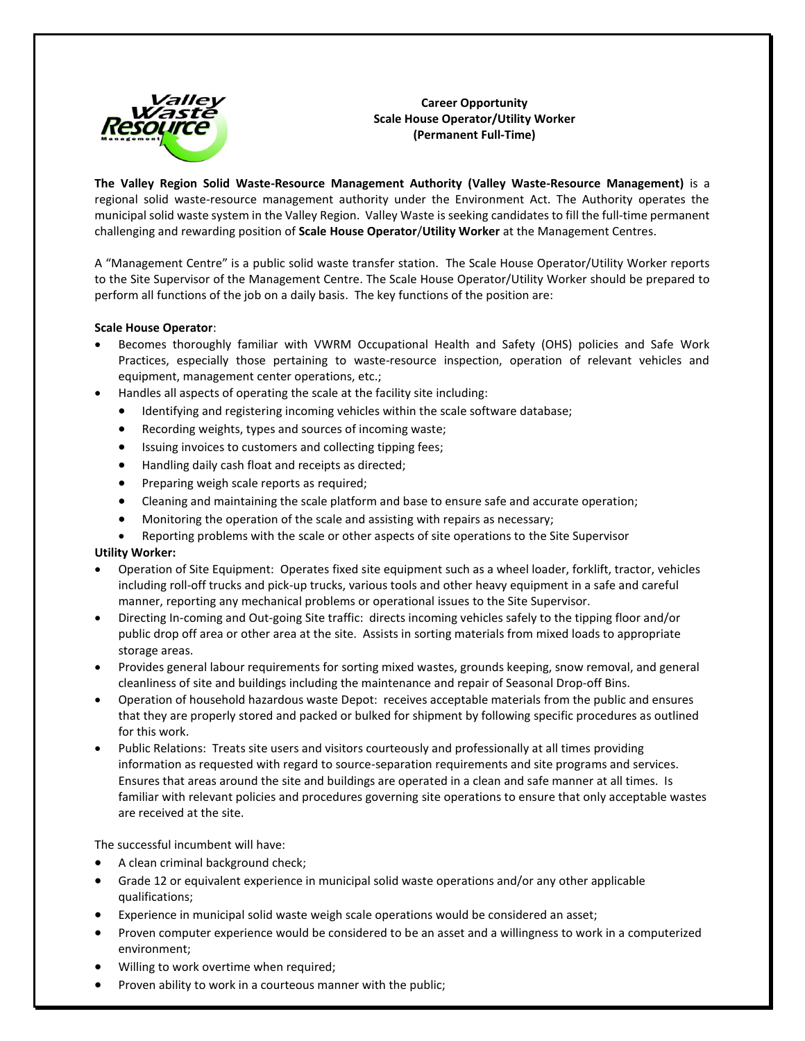

**Career Opportunity Scale House Operator/Utility Worker (Permanent Full-Time)**

**The Valley Region Solid Waste-Resource Management Authority (Valley Waste-Resource Management)** is a regional solid waste-resource management authority under the Environment Act. The Authority operates the municipal solid waste system in the Valley Region. Valley Waste is seeking candidates to fill the full-time permanent challenging and rewarding position of **Scale House Operator**/**Utility Worker** at the Management Centres.

A "Management Centre" is a public solid waste transfer station. The Scale House Operator/Utility Worker reports to the Site Supervisor of the Management Centre. The Scale House Operator/Utility Worker should be prepared to perform all functions of the job on a daily basis. The key functions of the position are:

## **Scale House Operator**:

- Becomes thoroughly familiar with VWRM Occupational Health and Safety (OHS) policies and Safe Work Practices, especially those pertaining to waste-resource inspection, operation of relevant vehicles and equipment, management center operations, etc.;
- Handles all aspects of operating the scale at the facility site including:
	- Identifying and registering incoming vehicles within the scale software database;
	- Recording weights, types and sources of incoming waste;
	- Issuing invoices to customers and collecting tipping fees;
	- Handling daily cash float and receipts as directed;
	- Preparing weigh scale reports as required;
	- Cleaning and maintaining the scale platform and base to ensure safe and accurate operation;
	- Monitoring the operation of the scale and assisting with repairs as necessary;
	- Reporting problems with the scale or other aspects of site operations to the Site Supervisor

## **Utility Worker:**

- Operation of Site Equipment: Operates fixed site equipment such as a wheel loader, forklift, tractor, vehicles including roll-off trucks and pick-up trucks, various tools and other heavy equipment in a safe and careful manner, reporting any mechanical problems or operational issues to the Site Supervisor.
- Directing In-coming and Out-going Site traffic: directs incoming vehicles safely to the tipping floor and/or public drop off area or other area at the site. Assists in sorting materials from mixed loads to appropriate storage areas.
- Provides general labour requirements for sorting mixed wastes, grounds keeping, snow removal, and general cleanliness of site and buildings including the maintenance and repair of Seasonal Drop-off Bins.
- Operation of household hazardous waste Depot: receives acceptable materials from the public and ensures that they are properly stored and packed or bulked for shipment by following specific procedures as outlined for this work.
- Public Relations: Treats site users and visitors courteously and professionally at all times providing information as requested with regard to source-separation requirements and site programs and services. Ensures that areas around the site and buildings are operated in a clean and safe manner at all times. Is familiar with relevant policies and procedures governing site operations to ensure that only acceptable wastes are received at the site.

The successful incumbent will have:

- A clean criminal background check;
- Grade 12 or equivalent experience in municipal solid waste operations and/or any other applicable qualifications;
- Experience in municipal solid waste weigh scale operations would be considered an asset;
- Proven computer experience would be considered to be an asset and a willingness to work in a computerized environment;
- Willing to work overtime when required;
- Proven ability to work in a courteous manner with the public;